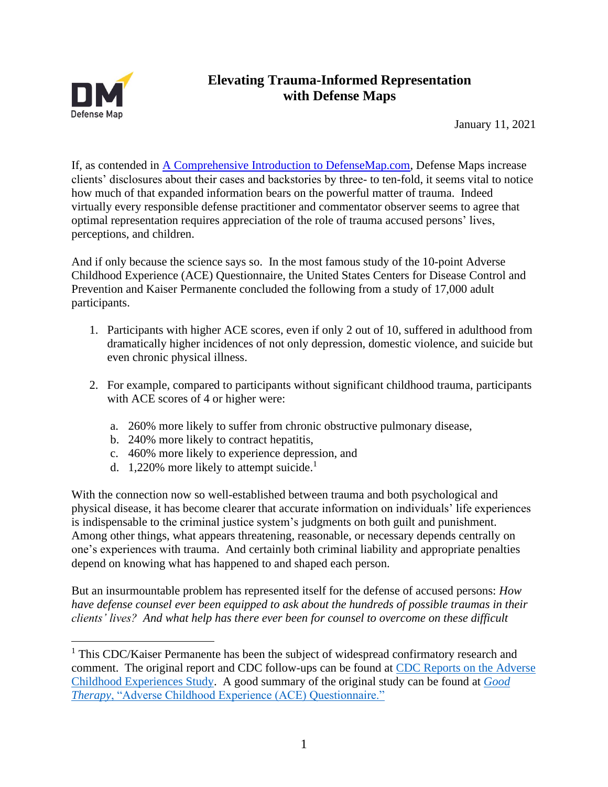

## **Elevating Trauma-Informed Representation with Defense Maps**

January 11, 2021

If, as contended in [A Comprehensive Introduction to DefenseMap.com,](https://defensemap.com/DM_Files/English/A_comprehensive_introduction_to_defensemap) Defense Maps increase clients' disclosures about their cases and backstories by three- to ten-fold, it seems vital to notice how much of that expanded information bears on the powerful matter of trauma. Indeed virtually every responsible defense practitioner and commentator observer seems to agree that optimal representation requires appreciation of the role of trauma accused persons' lives, perceptions, and children.

And if only because the science says so. In the most famous study of the 10-point Adverse Childhood Experience (ACE) Questionnaire, the United States Centers for Disease Control and Prevention and Kaiser Permanente concluded the following from a study of 17,000 adult participants.

- 1. Participants with higher ACE scores, even if only 2 out of 10, suffered in adulthood from dramatically higher incidences of not only depression, domestic violence, and suicide but even chronic physical illness.
- 2. For example, compared to participants without significant childhood trauma, participants with ACE scores of 4 or higher were:
	- a. 260% more likely to suffer from chronic obstructive pulmonary disease,
	- b. 240% more likely to contract hepatitis,
	- c. 460% more likely to experience depression, and
	- d. 1,220% more likely to attempt suicide.<sup>1</sup>

With the connection now so well-established between trauma and both psychological and physical disease, it has become clearer that accurate information on individuals' life experiences is indispensable to the criminal justice system's judgments on both guilt and punishment. Among other things, what appears threatening, reasonable, or necessary depends centrally on one's experiences with trauma. And certainly both criminal liability and appropriate penalties depend on knowing what has happened to and shaped each person.

But an insurmountable problem has represented itself for the defense of accused persons: *How have defense counsel ever been equipped to ask about the hundreds of possible traumas in their clients' lives? And what help has there ever been for counsel to overcome on these difficult* 

<sup>&</sup>lt;sup>1</sup> This CDC/Kaiser Permanente has been the subject of widespread confirmatory research and comment. The original report and CDC follow-ups can be found at [CDC Reports on the Adverse](https://web.archive.org/web/20151227092712/http:/www.cdc.gov/violenceprevention/acestudy/index.html)  [Childhood Experiences Study.](https://web.archive.org/web/20151227092712/http:/www.cdc.gov/violenceprevention/acestudy/index.html) A good summary of the original study can be found at *[Good](https://www.goodtherapy.org/blog/psychpedia/ace-questionnaire)  Therapy*[, "Adverse Childhood Experience \(ACE\) Questionnaire."](https://www.goodtherapy.org/blog/psychpedia/ace-questionnaire)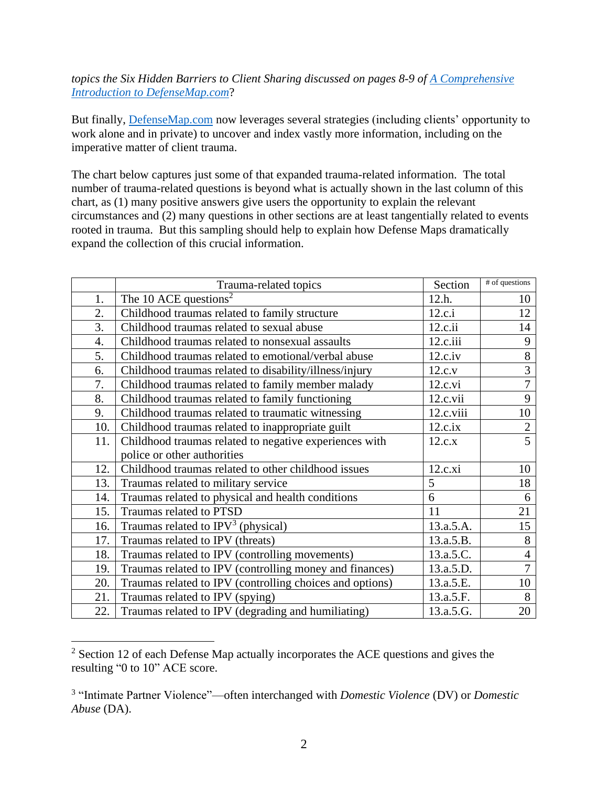## *topics the Six Hidden Barriers to Client Sharing discussed on pages 8-9 of [A Comprehensive](https://defensemap.com/DM_Files/English/A_comprehensive_introduction_to_defensemap)  [Introduction to DefenseMap.com](https://defensemap.com/DM_Files/English/A_comprehensive_introduction_to_defensemap)*?

But finally, [DefenseMap.com](http://www.defensemap.com/) now leverages several strategies (including clients' opportunity to work alone and in private) to uncover and index vastly more information, including on the imperative matter of client trauma.

The chart below captures just some of that expanded trauma-related information. The total number of trauma-related questions is beyond what is actually shown in the last column of this chart, as (1) many positive answers give users the opportunity to explain the relevant circumstances and (2) many questions in other sections are at least tangentially related to events rooted in trauma. But this sampling should help to explain how Defense Maps dramatically expand the collection of this crucial information.

|     | Trauma-related topics                                    | Section   | # of questions           |
|-----|----------------------------------------------------------|-----------|--------------------------|
| 1.  | The 10 ACE questions <sup>2</sup>                        | 12.h.     | 10                       |
| 2.  | Childhood traumas related to family structure            | 12.c.i    | 12                       |
| 3.  | Childhood traumas related to sexual abuse                | 12.c.ii   | 14                       |
| 4.  | Childhood traumas related to nonsexual assaults          | 12.c.iii  | 9                        |
| 5.  | Childhood traumas related to emotional/verbal abuse      | 12.c.iv   | 8                        |
| 6.  | Childhood traumas related to disability/illness/injury   | 12.c.v    | 3                        |
| 7.  | Childhood traumas related to family member malady        | 12.c.vi   | $\overline{7}$           |
| 8.  | Childhood traumas related to family functioning          | 12.c.vii  | 9                        |
| 9.  | Childhood traumas related to traumatic witnessing        | 12.c.viii | 10                       |
| 10. | Childhood traumas related to inappropriate guilt         | 12.c.ix   | $\overline{2}$           |
| 11. | Childhood traumas related to negative experiences with   | 12.c.x    | 5                        |
|     | police or other authorities                              |           |                          |
| 12. | Childhood traumas related to other childhood issues      | 12.c.xi   | 10                       |
| 13. | Traumas related to military service                      | 5         | 18                       |
| 14. | Traumas related to physical and health conditions        | 6         | 6                        |
| 15. | Traumas related to PTSD                                  | 11        | 21                       |
| 16. | Traumas related to $IPV3$ (physical)                     | 13.a.5.A. | 15                       |
| 17. | Traumas related to IPV (threats)                         | 13.a.5.B. | 8                        |
| 18. | Traumas related to IPV (controlling movements)           | 13.a.5.C. | $\overline{\mathcal{A}}$ |
| 19. | Traumas related to IPV (controlling money and finances)  | 13.a.5.D. | $\overline{7}$           |
| 20. | Traumas related to IPV (controlling choices and options) | 13.a.5.E. | 10                       |
| 21. | Traumas related to IPV (spying)                          | 13.a.5.F. | 8                        |
| 22. | Traumas related to IPV (degrading and humiliating)       | 13.a.5.G. | 20                       |

<sup>2</sup> Section 12 of each Defense Map actually incorporates the ACE questions and gives the resulting "0 to 10" ACE score.

<sup>3</sup> "Intimate Partner Violence"—often interchanged with *Domestic Violence* (DV) or *Domestic Abuse* (DA).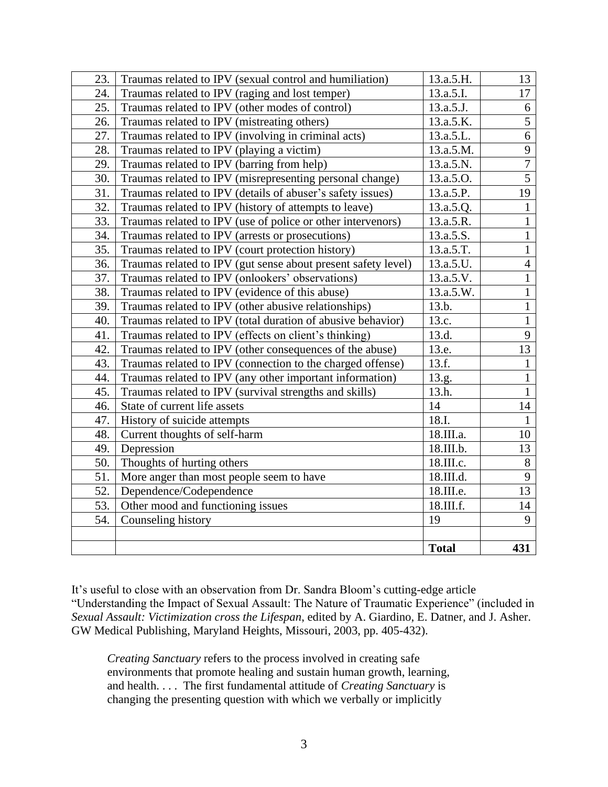| 23. | Traumas related to IPV (sexual control and humiliation)       | 13.a.5.H.    | 13             |
|-----|---------------------------------------------------------------|--------------|----------------|
| 24. | Traumas related to IPV (raging and lost temper)               | 13.a.5.I.    | 17             |
| 25. | Traumas related to IPV (other modes of control)               | 13.a.5.J.    | 6              |
| 26. | Traumas related to IPV (mistreating others)                   | 13.a.5.K.    | 5              |
| 27. | Traumas related to IPV (involving in criminal acts)           | 13.a.5.L.    | 6              |
| 28. | Traumas related to IPV (playing a victim)                     | 13.a.5.M.    | 9              |
| 29. | Traumas related to IPV (barring from help)                    | 13.a.5.N.    | $\overline{7}$ |
| 30. | Traumas related to IPV (misrepresenting personal change)      | 13.a.5.O.    | $\overline{5}$ |
| 31. | Traumas related to IPV (details of abuser's safety issues)    | 13.a.5.P.    | 19             |
| 32. | Traumas related to IPV (history of attempts to leave)         | 13.a.5.Q.    | $\mathbf{1}$   |
| 33. | Traumas related to IPV (use of police or other intervenors)   | 13.a.5.R.    | $\mathbf{1}$   |
| 34. | Traumas related to IPV (arrests or prosecutions)              | 13.a.5.S.    | $\mathbf{1}$   |
| 35. | Traumas related to IPV (court protection history)             | 13.a.5.T.    | $\mathbf{1}$   |
| 36. | Traumas related to IPV (gut sense about present safety level) | 13.a.5.U.    | $\overline{4}$ |
| 37. | Traumas related to IPV (onlookers' observations)              | 13.a.5.V.    | $\overline{1}$ |
| 38. | Traumas related to IPV (evidence of this abuse)               | 13.a.5.W.    | $\overline{1}$ |
| 39. | Traumas related to IPV (other abusive relationships)          | 13.b.        | $\overline{1}$ |
| 40. | Traumas related to IPV (total duration of abusive behavior)   | 13.c.        | $\overline{1}$ |
| 41. | Traumas related to IPV (effects on client's thinking)         | 13.d.        | 9              |
| 42. | Traumas related to IPV (other consequences of the abuse)      | 13.e.        | 13             |
| 43. | Traumas related to IPV (connection to the charged offense)    | 13.f.        | $\mathbf{1}$   |
| 44. | Traumas related to IPV (any other important information)      | 13.g.        | $\mathbf{1}$   |
| 45. | Traumas related to IPV (survival strengths and skills)        | 13.h.        | $\mathbf{1}$   |
| 46. | State of current life assets                                  | 14           | 14             |
| 47. | History of suicide attempts                                   | 18.I.        | $\mathbf{1}$   |
| 48. | Current thoughts of self-harm                                 | 18.III.a.    | 10             |
| 49. | Depression                                                    | 18.III.b.    | 13             |
| 50. | Thoughts of hurting others                                    | 18.III.c.    | $8\,$          |
| 51. | More anger than most people seem to have                      | 18.III.d.    | 9              |
| 52. | Dependence/Codependence                                       | 18.III.e.    | 13             |
| 53. | Other mood and functioning issues                             | 18.III.f.    | 14             |
| 54. | Counseling history                                            | 19           | 9              |
|     |                                                               |              |                |
|     |                                                               | <b>Total</b> | 431            |

It's useful to close with an observation from Dr. Sandra Bloom's cutting-edge article "Understanding the Impact of Sexual Assault: The Nature of Traumatic Experience" (included in *Sexual Assault: Victimization cross the Lifespan*, edited by A. Giardino, E. Datner, and J. Asher. GW Medical Publishing, Maryland Heights, Missouri, 2003, pp. 405-432).

*Creating Sanctuary* refers to the process involved in creating safe environments that promote healing and sustain human growth, learning, and health. . . . The first fundamental attitude of *Creating Sanctuary* is changing the presenting question with which we verbally or implicitly